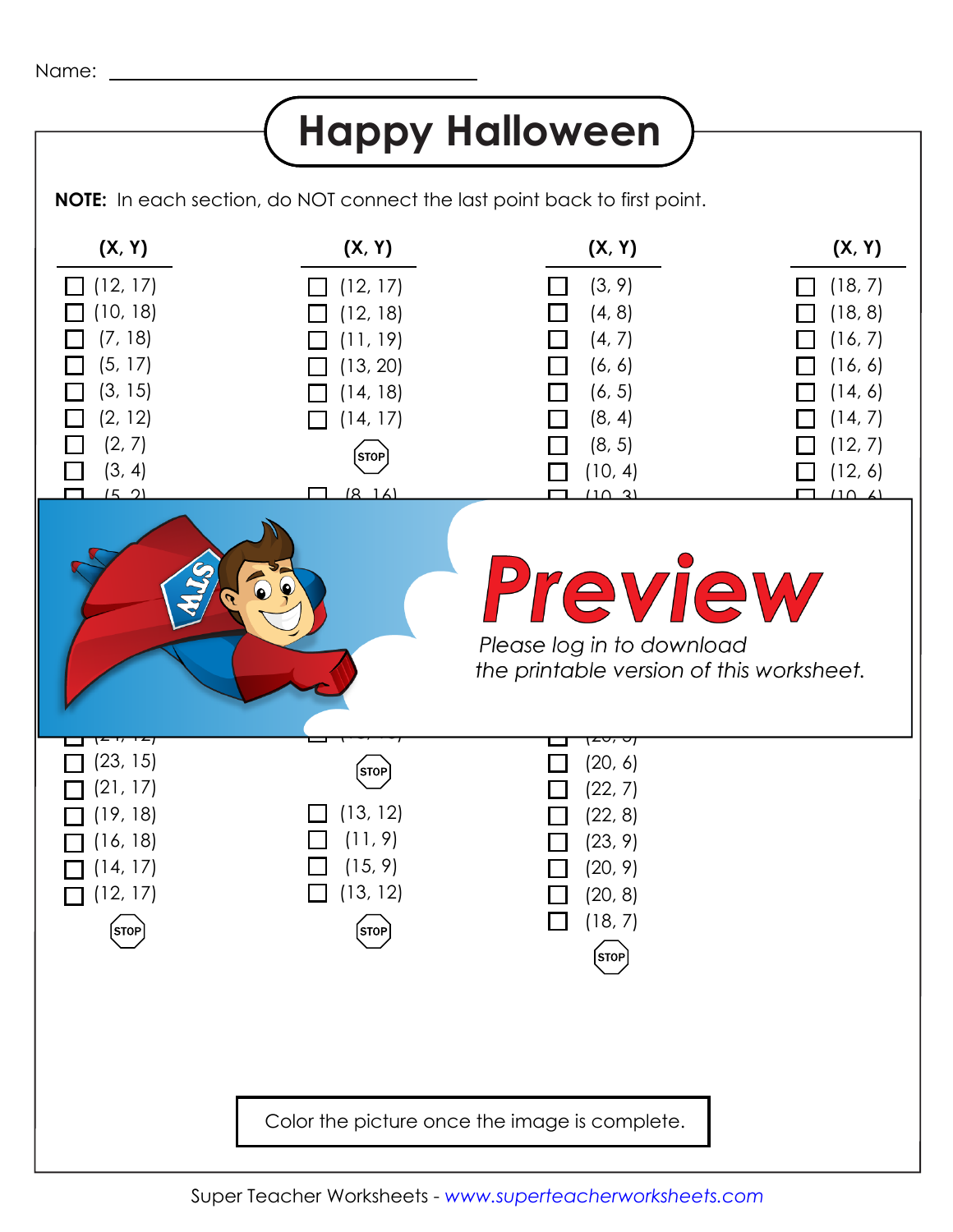## **Happy Halloween**

**NOTE:** In each section, do NOT connect the last point back to first point.

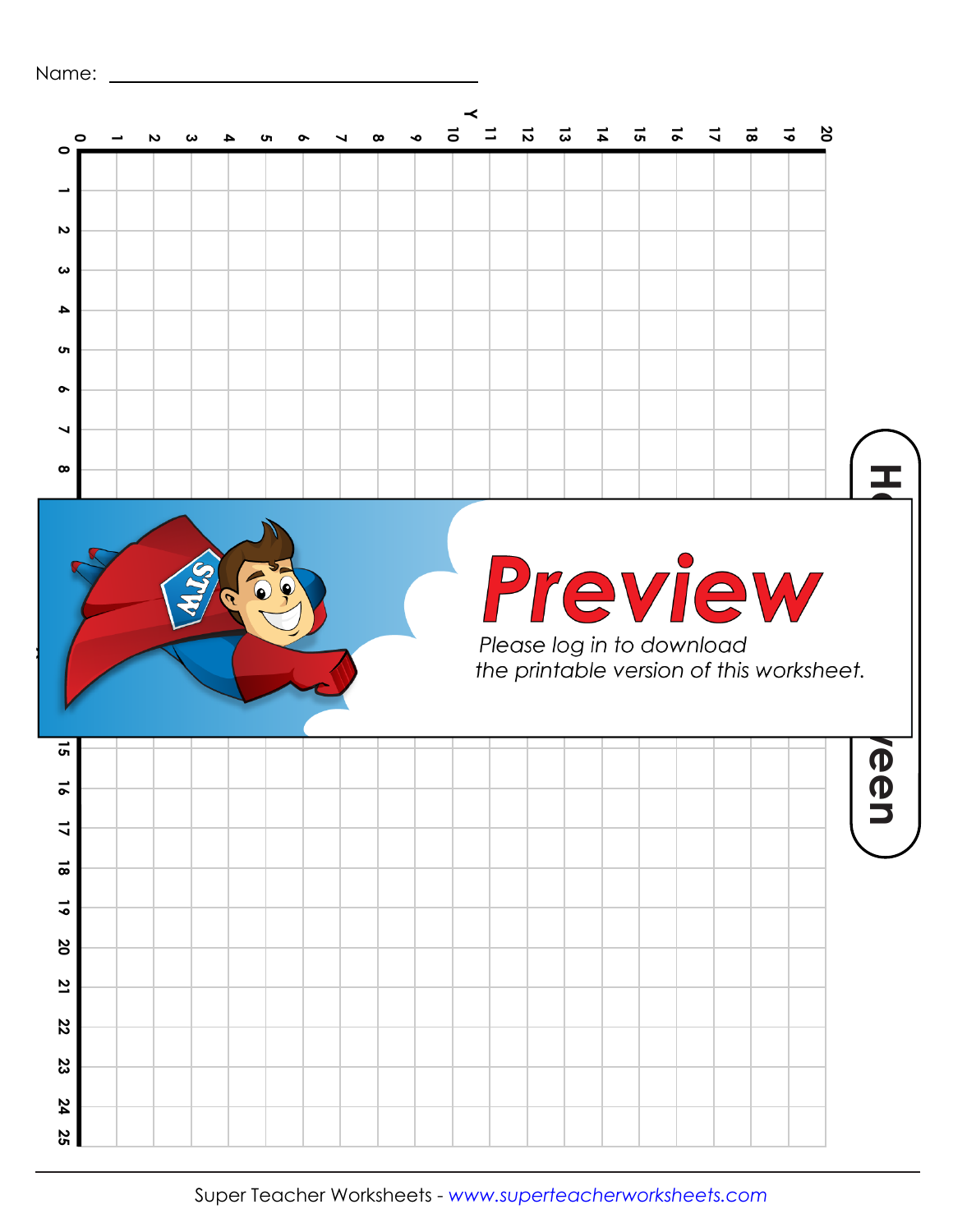